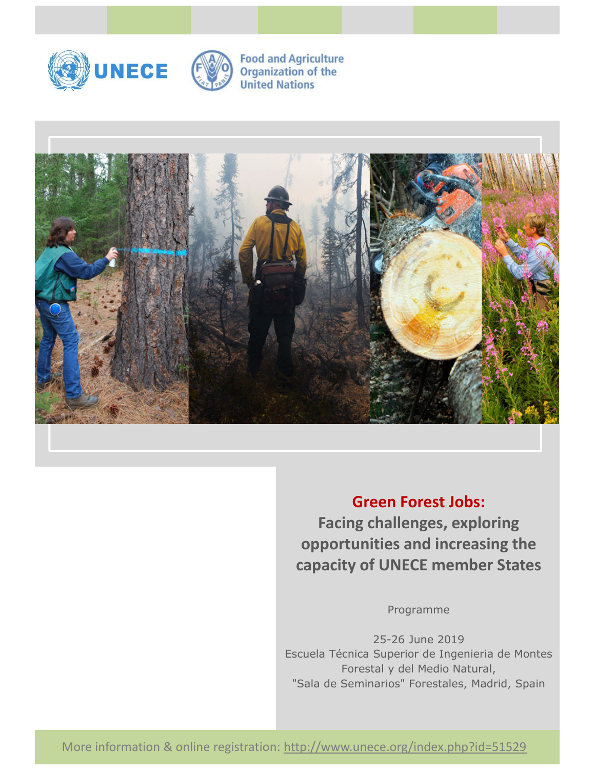



**Food and Agriculture Organization of the United Nations** 



**Green Forest Jobs: Facing challenges, exploring opportunities and increasing the capacity of UNECE member States**

Programme

25-26 June 2019 Escuela Técnica Superior de Ingenieria de Montes Forestal y del Medio Natural, "Sala de Seminarios" Forestales, Madrid, Spain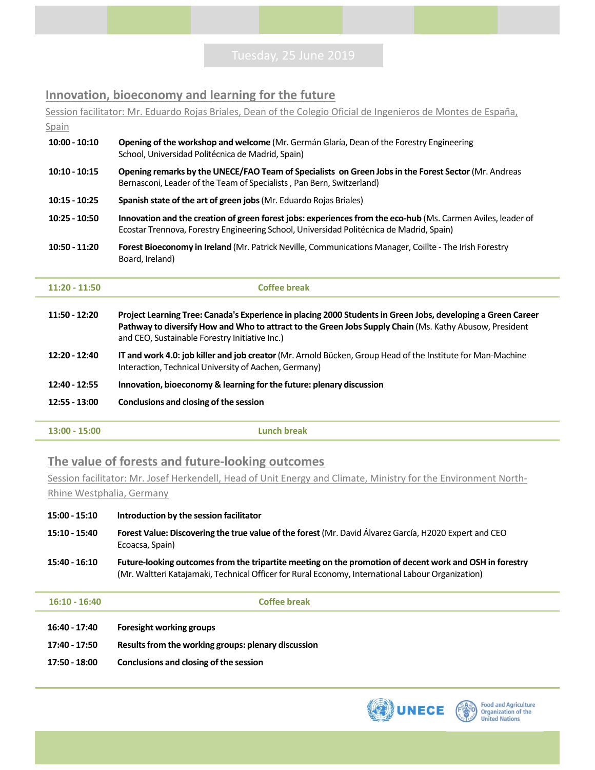### **Innovation, bioeconomy and learning for the future**

Session facilitator: Mr. Eduardo Rojas Briales, Dean of the Colegio Oficial de Ingenieros de Montes de España, Spain **11:50 ‐ 12:20 Project Learning Tree: Canada's Experience in placing 2000 Students in Green Jobs, developing a Green Career**  Pathway to diversify How and Who to attract to the Green Jobs Supply Chain (Ms. Kathy Abusow, President and CEO, Sustainable Forestry Initiative Inc.) **10:00 ‐ 10:10 Opening of the workshop and welcome** (Mr. Germán Glaría, Dean of the Forestry Engineering School, Universidad Politécnica de Madrid, Spain) **10:10 ‐ 10:15 Opening remarks by the UNECE/FAO Team of Specialists on Green Jobs in the Forest Sector** (Mr. Andreas Bernasconi, Leader of the Team of Specialists , Pan Bern, Switzerland) **10:15 ‐ 10:25 Spanish state of the art of green jobs** (Mr. Eduardo Rojas Briales) **10:25 ‐ 10:50 Innovation and the creation of green forest jobs: experiences from the eco‐hub** (Ms. Carmen Aviles, leader of Ecostar Trennova, Forestry Engineering School, Universidad Politécnica de Madrid, Spain) **10:50 ‐ 11:20 Forest Bioeconomy in Ireland** (Mr. Patrick Neville, Communications Manager, Coillte ‐ The Irish Forestry Board, Ireland) **11:20 ‐ 11:50 Coffee break**

- **12:20 ‐ 12:40 IT and work 4.0: job killer and job creator** (Mr. Arnold Bücken, Group Head of the Institute for Man‐Machine Interaction, Technical University of Aachen, Germany)
- **12:40 ‐ 12:55 Innovation, bioeconomy & learning for the future: plenary discussion**
- **12:55 ‐ 13:00 Conclusions and closing of the session**
- **13:00 ‐ 15:00 Lunch break**

### **The value of forests and future‐looking outcomes**

Session facilitator: Mr. Josef Herkendell, Head of Unit Energy and Climate, Ministry for the Environment North‐ Rhine Westphalia, Germany

- **15:00 ‐ 15:10 Introduction by the session facilitator**
- **15:10 ‐ 15:40 Forest Value: Discovering the true value of the forest** (Mr. David Álvarez García, H2020 Expert and CEO Ecoacsa, Spain)
- **15:40 ‐ 16:10 Future‐looking outcomes from the tripartite meeting on the promotion of decent work and OSH in forestry**  (Mr. Waltteri Katajamaki, Technical Officer for Rural Economy, International Labour Organization)

**16:10 ‐ 16:40 Coffee break**

- **16:40 ‐ 17:40 Foresight working groups**
- **17:40 ‐ 17:50 Results from the working groups: plenary discussion**
- **17:50 ‐ 18:00 Conclusions and closing of the session**



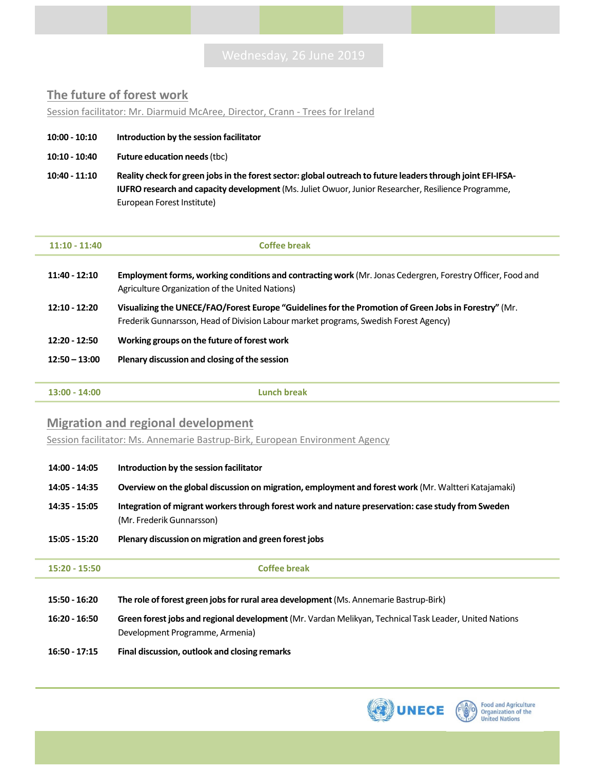### **The future of forest work**

Session facilitator: Mr. Diarmuid McAree, Director, Crann ‐ Trees for Ireland

- **10:00 ‐ 10:10 Introduction by the session facilitator**
- **10:10 ‐ 10:40 Future education needs** (tbc)
- **10:40 ‐ 11:10 Reality check for green jobs in the forest sector: global outreach to future leaders through joint EFI‐IFSA‐ IUFRO research and capacity development** (Ms. Juliet Owuor, Junior Researcher, Resilience Programme, European Forest Institute)

| $11:10 - 11:40$ | Coffee break                                                                                                                                                                                  |
|-----------------|-----------------------------------------------------------------------------------------------------------------------------------------------------------------------------------------------|
| $11:40 - 12:10$ | Employment forms, working conditions and contracting work (Mr. Jonas Cedergren, Forestry Officer, Food and<br>Agriculture Organization of the United Nations)                                 |
| $12:10 - 12:20$ | Visualizing the UNECE/FAO/Forest Europe "Guidelines for the Promotion of Green Jobs in Forestry" (Mr.<br>Frederik Gunnarsson, Head of Division Labour market programs, Swedish Forest Agency) |
| $12:20 - 12:50$ | Working groups on the future of forest work                                                                                                                                                   |
| $12:50 - 13:00$ | Plenary discussion and closing of the session                                                                                                                                                 |
|                 |                                                                                                                                                                                               |
| $13:00 - 14:00$ | Lunch break                                                                                                                                                                                   |
|                 |                                                                                                                                                                                               |

#### **Migration and regional development**

Session facilitator: Ms. Annemarie Bastrup-Birk, European Environment Agency

| 14:00 - 14:05   | Introduction by the session facilitator                                                                                                   |
|-----------------|-------------------------------------------------------------------------------------------------------------------------------------------|
| 14:05 - 14:35   | Overview on the global discussion on migration, employment and forest work (Mr. Waltteri Katajamaki)                                      |
| 14:35 - 15:05   | Integration of migrant workers through forest work and nature preservation: case study from Sweden<br>(Mr. Frederik Gunnarsson)           |
| 15:05 - 15:20   | Plenary discussion on migration and green forest jobs                                                                                     |
|                 |                                                                                                                                           |
| $15:20 - 15:50$ | <b>Coffee break</b>                                                                                                                       |
|                 |                                                                                                                                           |
| 15:50 - 16:20   | The role of forest green jobs for rural area development (Ms. Annemarie Bastrup-Birk)                                                     |
| $16:20 - 16:50$ | Green forest jobs and regional development (Mr. Vardan Melikyan, Technical Task Leader, United Nations<br>Development Programme, Armenia) |